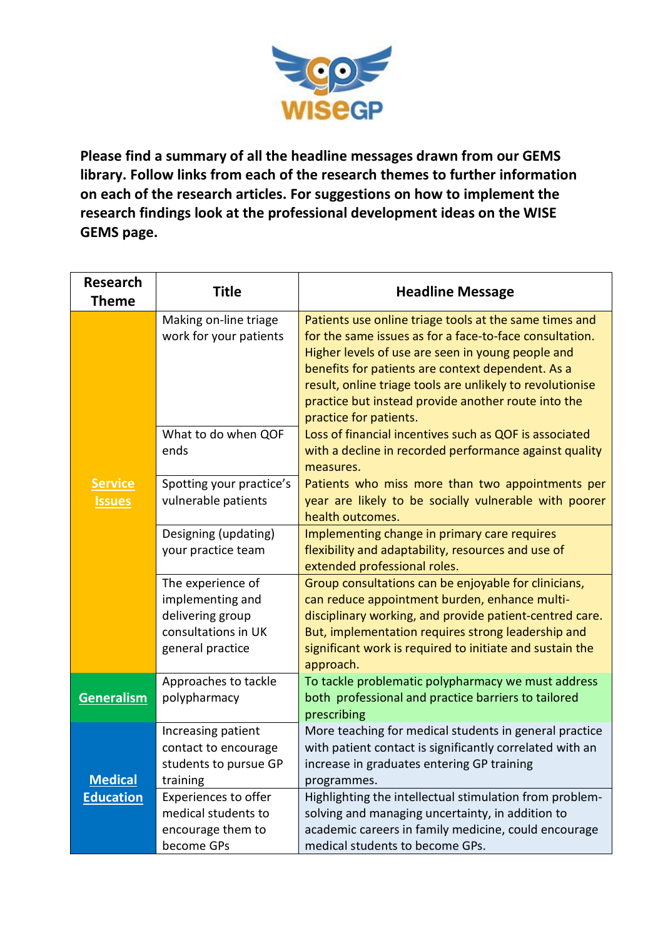

**Please find a summary of all the headline messages drawn from our GEMS library. Follow links from each of the research themes to further information on each of the research articles. For suggestions on how to implement the research findings look at the professional development ideas on the WISE GEMS page.**

| <b>Research</b><br><b>Theme</b> | <b>Title</b>                                                                                         | <b>Headline Message</b>                                                                                                                                                                                                                                                                                                                                                   |
|---------------------------------|------------------------------------------------------------------------------------------------------|---------------------------------------------------------------------------------------------------------------------------------------------------------------------------------------------------------------------------------------------------------------------------------------------------------------------------------------------------------------------------|
|                                 | Making on-line triage<br>work for your patients                                                      | Patients use online triage tools at the same times and<br>for the same issues as for a face-to-face consultation.<br>Higher levels of use are seen in young people and<br>benefits for patients are context dependent. As a<br>result, online triage tools are unlikely to revolutionise<br>practice but instead provide another route into the<br>practice for patients. |
|                                 | What to do when QOF<br>ends                                                                          | Loss of financial incentives such as QOF is associated<br>with a decline in recorded performance against quality<br>measures.                                                                                                                                                                                                                                             |
| <b>Service</b><br><b>Issues</b> | Spotting your practice's<br>vulnerable patients                                                      | Patients who miss more than two appointments per<br>year are likely to be socially vulnerable with poorer<br>health outcomes.                                                                                                                                                                                                                                             |
|                                 | Designing (updating)<br>your practice team                                                           | Implementing change in primary care requires<br>flexibility and adaptability, resources and use of<br>extended professional roles.                                                                                                                                                                                                                                        |
|                                 | The experience of<br>implementing and<br>delivering group<br>consultations in UK<br>general practice | Group consultations can be enjoyable for clinicians,<br>can reduce appointment burden, enhance multi-<br>disciplinary working, and provide patient-centred care.<br>But, implementation requires strong leadership and<br>significant work is required to initiate and sustain the<br>approach.                                                                           |
| <b>Generalism</b>               | Approaches to tackle<br>polypharmacy                                                                 | To tackle problematic polypharmacy we must address<br>both professional and practice barriers to tailored<br>prescribing                                                                                                                                                                                                                                                  |
| <b>Medical</b>                  | Increasing patient<br>contact to encourage<br>students to pursue GP<br>training                      | More teaching for medical students in general practice<br>with patient contact is significantly correlated with an<br>increase in graduates entering GP training<br>programmes.                                                                                                                                                                                           |
| <b>Education</b>                | Experiences to offer<br>medical students to<br>encourage them to<br>become GPs                       | Highlighting the intellectual stimulation from problem-<br>solving and managing uncertainty, in addition to<br>academic careers in family medicine, could encourage<br>medical students to become GPs.                                                                                                                                                                    |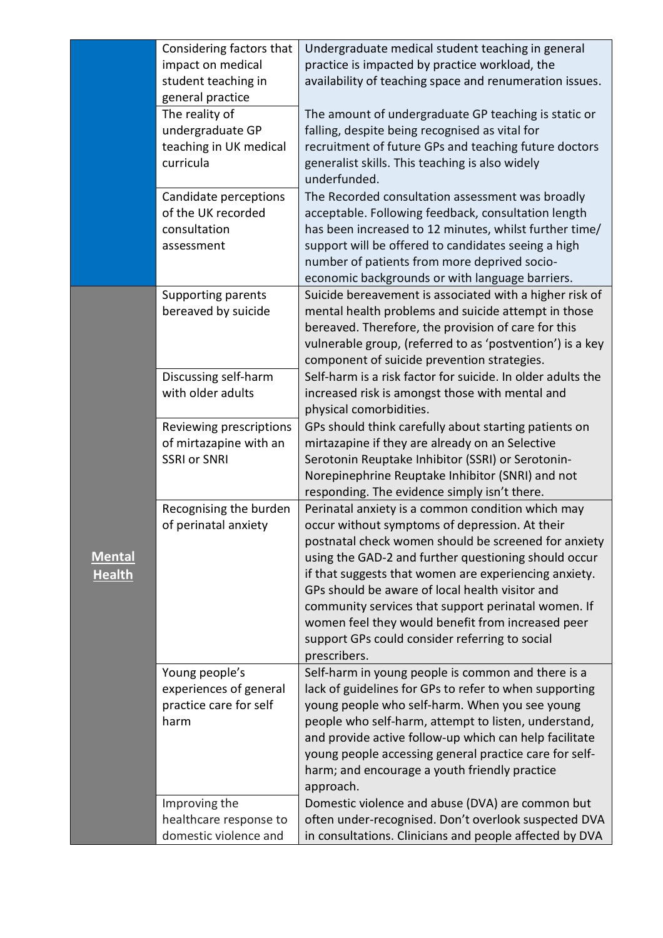|                                | Considering factors that<br>impact on medical<br>student teaching in<br>general practice | Undergraduate medical student teaching in general<br>practice is impacted by practice workload, the<br>availability of teaching space and renumeration issues.                                                                                                                                                                                                                                                                                                                                                |
|--------------------------------|------------------------------------------------------------------------------------------|---------------------------------------------------------------------------------------------------------------------------------------------------------------------------------------------------------------------------------------------------------------------------------------------------------------------------------------------------------------------------------------------------------------------------------------------------------------------------------------------------------------|
|                                | The reality of<br>undergraduate GP<br>teaching in UK medical<br>curricula                | The amount of undergraduate GP teaching is static or<br>falling, despite being recognised as vital for<br>recruitment of future GPs and teaching future doctors<br>generalist skills. This teaching is also widely<br>underfunded.                                                                                                                                                                                                                                                                            |
|                                | Candidate perceptions<br>of the UK recorded<br>consultation<br>assessment                | The Recorded consultation assessment was broadly<br>acceptable. Following feedback, consultation length<br>has been increased to 12 minutes, whilst further time/<br>support will be offered to candidates seeing a high<br>number of patients from more deprived socio-<br>economic backgrounds or with language barriers.                                                                                                                                                                                   |
| <b>Mental</b><br><b>Health</b> | Supporting parents<br>bereaved by suicide                                                | Suicide bereavement is associated with a higher risk of<br>mental health problems and suicide attempt in those<br>bereaved. Therefore, the provision of care for this<br>vulnerable group, (referred to as 'postvention') is a key<br>component of suicide prevention strategies.                                                                                                                                                                                                                             |
|                                | Discussing self-harm<br>with older adults                                                | Self-harm is a risk factor for suicide. In older adults the<br>increased risk is amongst those with mental and<br>physical comorbidities.                                                                                                                                                                                                                                                                                                                                                                     |
|                                | Reviewing prescriptions<br>of mirtazapine with an<br><b>SSRI or SNRI</b>                 | GPs should think carefully about starting patients on<br>mirtazapine if they are already on an Selective<br>Serotonin Reuptake Inhibitor (SSRI) or Serotonin-<br>Norepinephrine Reuptake Inhibitor (SNRI) and not<br>responding. The evidence simply isn't there.                                                                                                                                                                                                                                             |
|                                | Recognising the burden<br>of perinatal anxiety                                           | Perinatal anxiety is a common condition which may<br>occur without symptoms of depression. At their<br>postnatal check women should be screened for anxiety<br>using the GAD-2 and further questioning should occur<br>if that suggests that women are experiencing anxiety.<br>GPs should be aware of local health visitor and<br>community services that support perinatal women. If<br>women feel they would benefit from increased peer<br>support GPs could consider referring to social<br>prescribers. |
|                                | Young people's<br>experiences of general<br>practice care for self<br>harm               | Self-harm in young people is common and there is a<br>lack of guidelines for GPs to refer to when supporting<br>young people who self-harm. When you see young<br>people who self-harm, attempt to listen, understand,<br>and provide active follow-up which can help facilitate<br>young people accessing general practice care for self-<br>harm; and encourage a youth friendly practice<br>approach.                                                                                                      |
|                                | Improving the<br>healthcare response to<br>domestic violence and                         | Domestic violence and abuse (DVA) are common but<br>often under-recognised. Don't overlook suspected DVA<br>in consultations. Clinicians and people affected by DVA                                                                                                                                                                                                                                                                                                                                           |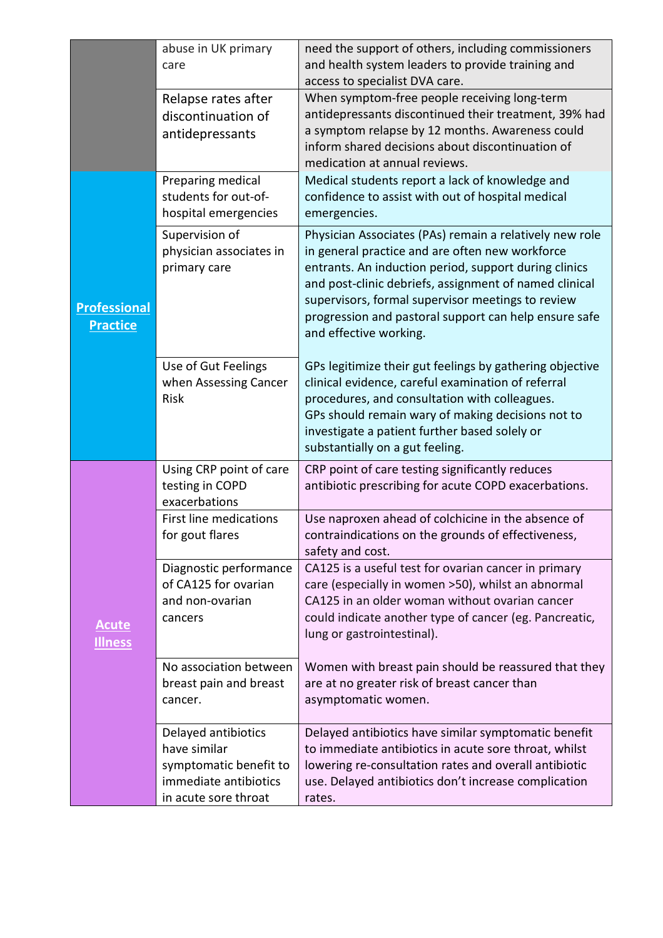|                                        | abuse in UK primary<br>care                                                                                    | need the support of others, including commissioners<br>and health system leaders to provide training and<br>access to specialist DVA care.                                                                                                                                                                                                                            |
|----------------------------------------|----------------------------------------------------------------------------------------------------------------|-----------------------------------------------------------------------------------------------------------------------------------------------------------------------------------------------------------------------------------------------------------------------------------------------------------------------------------------------------------------------|
|                                        | Relapse rates after<br>discontinuation of<br>antidepressants                                                   | When symptom-free people receiving long-term<br>antidepressants discontinued their treatment, 39% had<br>a symptom relapse by 12 months. Awareness could<br>inform shared decisions about discontinuation of<br>medication at annual reviews.                                                                                                                         |
| <b>Professional</b><br><b>Practice</b> | Preparing medical<br>students for out-of-<br>hospital emergencies                                              | Medical students report a lack of knowledge and<br>confidence to assist with out of hospital medical<br>emergencies.                                                                                                                                                                                                                                                  |
|                                        | Supervision of<br>physician associates in<br>primary care                                                      | Physician Associates (PAs) remain a relatively new role<br>in general practice and are often new workforce<br>entrants. An induction period, support during clinics<br>and post-clinic debriefs, assignment of named clinical<br>supervisors, formal supervisor meetings to review<br>progression and pastoral support can help ensure safe<br>and effective working. |
|                                        | Use of Gut Feelings<br>when Assessing Cancer<br>Risk                                                           | GPs legitimize their gut feelings by gathering objective<br>clinical evidence, careful examination of referral<br>procedures, and consultation with colleagues.<br>GPs should remain wary of making decisions not to<br>investigate a patient further based solely or<br>substantially on a gut feeling.                                                              |
| <b>Acute</b><br><b>Illness</b>         | Using CRP point of care<br>testing in COPD<br>exacerbations                                                    | CRP point of care testing significantly reduces<br>antibiotic prescribing for acute COPD exacerbations.                                                                                                                                                                                                                                                               |
|                                        | First line medications<br>for gout flares                                                                      | Use naproxen ahead of colchicine in the absence of<br>contraindications on the grounds of effectiveness,<br>safety and cost.                                                                                                                                                                                                                                          |
|                                        | Diagnostic performance<br>of CA125 for ovarian<br>and non-ovarian<br>cancers                                   | CA125 is a useful test for ovarian cancer in primary<br>care (especially in women >50), whilst an abnormal<br>CA125 in an older woman without ovarian cancer<br>could indicate another type of cancer (eg. Pancreatic,<br>lung or gastrointestinal).                                                                                                                  |
|                                        | No association between<br>breast pain and breast<br>cancer.                                                    | Women with breast pain should be reassured that they<br>are at no greater risk of breast cancer than<br>asymptomatic women.                                                                                                                                                                                                                                           |
|                                        | Delayed antibiotics<br>have similar<br>symptomatic benefit to<br>immediate antibiotics<br>in acute sore throat | Delayed antibiotics have similar symptomatic benefit<br>to immediate antibiotics in acute sore throat, whilst<br>lowering re-consultation rates and overall antibiotic<br>use. Delayed antibiotics don't increase complication<br>rates.                                                                                                                              |